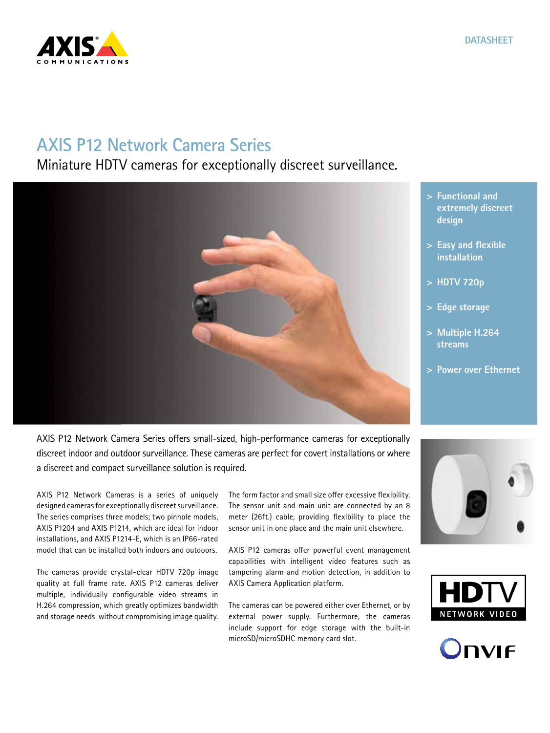

# **AXIS P12 Network Camera Series**

Miniature HDTV cameras for exceptionally discreet surveillance.



- **> Functional and extremely discreet design**
- **> Easy and flexible installation**
- **> HDTV 720p**
- **> Edge storage**
- **> Multiple H.264 streams**
- **> Power over Ethernet**

AXIS P12 Network Camera Series offers small-sized, high-performance cameras for exceptionally discreet indoor and outdoor surveillance. These cameras are perfect for covert installations or where a discreet and compact surveillance solution is required.

AXIS P12 Network Cameras is a series of uniquely designed cameras for exceptionally discreet surveillance. The series comprises three models; two pinhole models, AXIS P1204 and AXIS P1214, which are ideal for indoor installations, and AXIS P1214-E, which is an IP66-rated model that can be installed both indoors and outdoors.

The cameras provide crystal-clear HDTV 720p image quality at full frame rate. AXIS P12 cameras deliver multiple, individually configurable video streams in H.264 compression, which greatly optimizes bandwidth and storage needs without compromising image quality.

The form factor and small size offer excessive flexibility. The sensor unit and main unit are connected by an 8 meter (26ft.) cable, providing flexibility to place the sensor unit in one place and the main unit elsewhere.

AXIS P12 cameras offer powerful event management capabilities with intelligent video features such as tampering alarm and motion detection, in addition to AXIS Camera Application platform.

The cameras can be powered either over Ethernet, or by external power supply. Furthermore, the cameras include support for edge storage with the built-in microSD/microSDHC memory card slot.





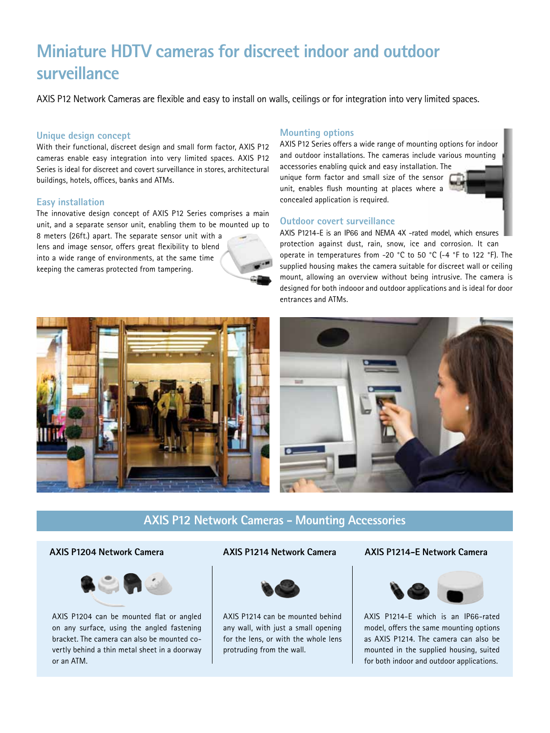# **Miniature HDTV cameras for discreet indoor and outdoor surveillance**

AXIS P12 Network Cameras are flexible and easy to install on walls, ceilings or for integration into very limited spaces.

#### **Unique design concept**

With their functional, discreet design and small form factor, AXIS P12 cameras enable easy integration into very limited spaces. AXIS P12 Series is ideal for discreet and covert surveillance in stores, architectural buildings, hotels, offices, banks and ATMs.

#### **Easy installation**

The innovative design concept of AXIS P12 Series comprises a main unit, and a separate sensor unit, enabling them to be mounted up to 8 meters (26ft.) apart. The separate sensor unit with a lens and image sensor, offers great flexibility to blend into a wide range of environments, at the same time

keeping the cameras protected from tampering.

### **Mounting options**

AXIS P12 Series offers a wide range of mounting options for indoor and outdoor installations. The cameras include various mounting

accessories enabling quick and easy installation. The unique form factor and small size of the sensor unit, enables flush mounting at places where a concealed application is required.



### **Outdoor covert surveillance**

AXIS P1214-E is an IP66 and NEMA 4X -rated model, which ensures protection against dust, rain, snow, ice and corrosion. It can operate in temperatures from -20 °C to 50 °C (-4 °F to 122 °F). The supplied housing makes the camera suitable for discreet wall or ceiling mount, allowing an overview without being intrusive. The camera is designed for both indooor and outdoor applications and is ideal for door entrances and ATMs.





## **AXIS P12 Network Cameras - Mounting Accessories**



AXIS P1204 can be mounted flat or angled on any surface, using the angled fastening bracket. The camera can also be mounted covertly behind a thin metal sheet in a doorway or an ATM.



AXIS P1214 can be mounted behind any wall, with just a small opening for the lens, or with the whole lens protruding from the wall.

#### **AXIS P1204 Network Camera AXIS P1214 Network Camera AXIS P1214-E Network Camera**



AXIS P1214-E which is an IP66-rated model, offers the same mounting options as AXIS P1214. The camera can also be mounted in the supplied housing, suited for both indoor and outdoor applications.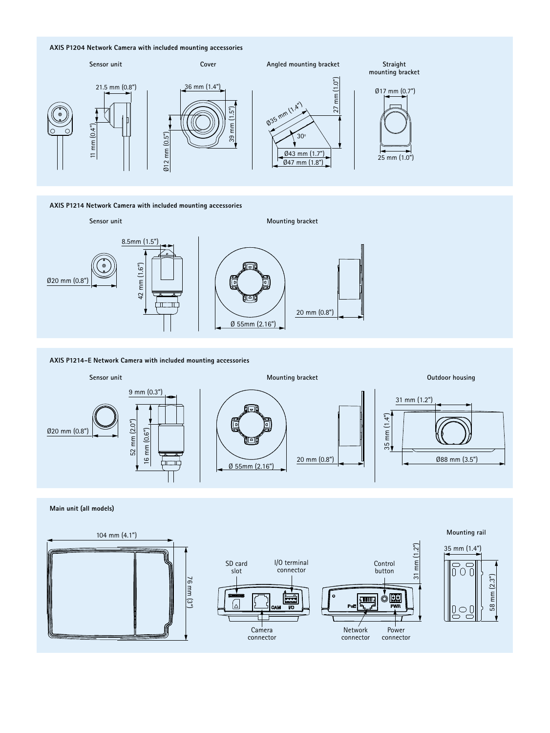#### **AXIS P1204 Network Camera with included mounting accessories**



**AXIS P1214 Network Camera with included mounting accessories**



#### **AXIS P1214-E Network Camera with included mounting accessories**



#### **Main unit (all models)**



#### **Mounting rail**